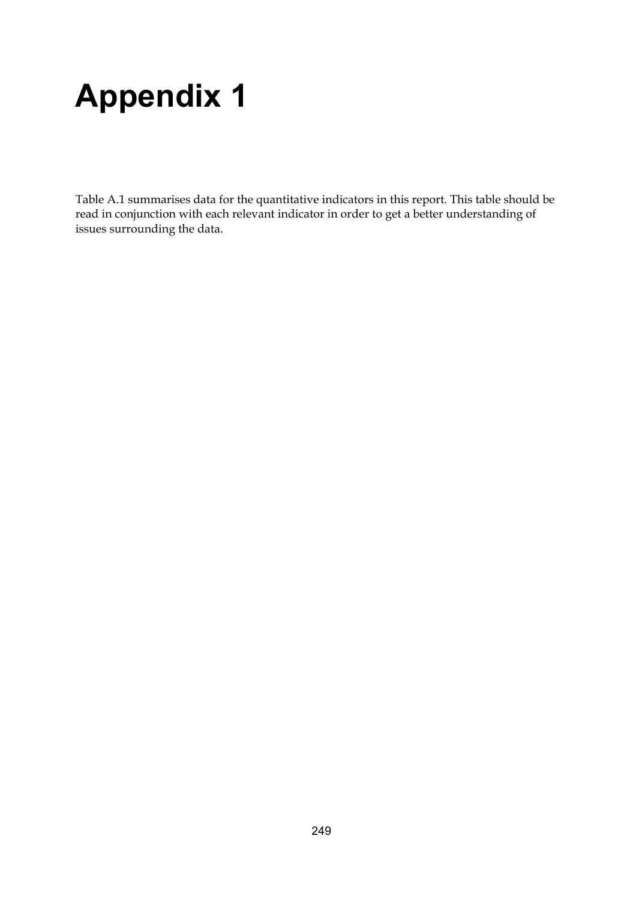# **Appendix 1**

Table A.1 summarises data for the quantitative indicators in this report. This table should be read in conjunction with each relevant indicator in order to get a better understanding of issues surrounding the data.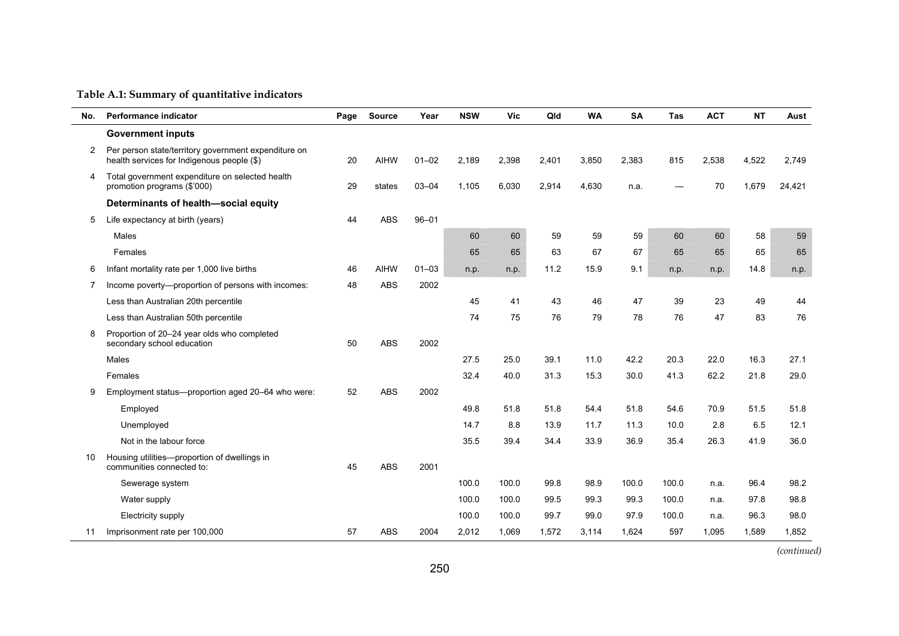### **Table A.1: Summary of quantitative indicators**

| No.            | <b>Performance indicator</b>                                                                       | Page | <b>Source</b> | Year      | <b>NSW</b> | Vic   | Qld   | <b>WA</b> | <b>SA</b> | Tas   | <b>ACT</b> | <b>NT</b> | Aust   |
|----------------|----------------------------------------------------------------------------------------------------|------|---------------|-----------|------------|-------|-------|-----------|-----------|-------|------------|-----------|--------|
|                | <b>Government inputs</b>                                                                           |      |               |           |            |       |       |           |           |       |            |           |        |
| $\overline{2}$ | Per person state/territory government expenditure on<br>health services for Indigenous people (\$) | 20   | <b>AIHW</b>   | $01 - 02$ | 2,189      | 2,398 | 2,401 | 3,850     | 2,383     | 815   | 2,538      | 4,522     | 2,749  |
| 4              | Total government expenditure on selected health<br>promotion programs (\$'000)                     | 29   | states        | $03 - 04$ | 1,105      | 6,030 | 2,914 | 4,630     | n.a.      |       | 70         | 1,679     | 24,421 |
|                | Determinants of health-social equity                                                               |      |               |           |            |       |       |           |           |       |            |           |        |
| 5              | Life expectancy at birth (years)                                                                   | 44   | <b>ABS</b>    | $96 - 01$ |            |       |       |           |           |       |            |           |        |
|                | Males                                                                                              |      |               |           | 60         | 60    | 59    | 59        | 59        | 60    | 60         | 58        | 59     |
|                | Females                                                                                            |      |               |           | 65         | 65    | 63    | 67        | 67        | 65    | 65         | 65        | 65     |
| 6              | Infant mortality rate per 1,000 live births                                                        | 46   | <b>AIHW</b>   | $01 - 03$ | n.p.       | n.p.  | 11.2  | 15.9      | 9.1       | n.p.  | n.p.       | 14.8      | n.p.   |
| 7              | Income poverty-proportion of persons with incomes:                                                 | 48   | <b>ABS</b>    | 2002      |            |       |       |           |           |       |            |           |        |
|                | Less than Australian 20th percentile                                                               |      |               |           | 45         | 41    | 43    | 46        | 47        | 39    | 23         | 49        | 44     |
|                | Less than Australian 50th percentile                                                               |      |               |           | 74         | 75    | 76    | 79        | 78        | 76    | 47         | 83        | 76     |
| 8              | Proportion of 20-24 year olds who completed<br>secondary school education                          | 50   | <b>ABS</b>    | 2002      |            |       |       |           |           |       |            |           |        |
|                | Males                                                                                              |      |               |           | 27.5       | 25.0  | 39.1  | 11.0      | 42.2      | 20.3  | 22.0       | 16.3      | 27.1   |
|                | Females                                                                                            |      |               |           | 32.4       | 40.0  | 31.3  | 15.3      | 30.0      | 41.3  | 62.2       | 21.8      | 29.0   |
| 9              | Employment status-proportion aged 20-64 who were:                                                  | 52   | <b>ABS</b>    | 2002      |            |       |       |           |           |       |            |           |        |
|                | Employed                                                                                           |      |               |           | 49.8       | 51.8  | 51.8  | 54.4      | 51.8      | 54.6  | 70.9       | 51.5      | 51.8   |
|                | Unemployed                                                                                         |      |               |           | 14.7       | 8.8   | 13.9  | 11.7      | 11.3      | 10.0  | 2.8        | 6.5       | 12.1   |
|                | Not in the labour force                                                                            |      |               |           | 35.5       | 39.4  | 34.4  | 33.9      | 36.9      | 35.4  | 26.3       | 41.9      | 36.0   |
| 10             | Housing utilities-proportion of dwellings in<br>communities connected to:                          | 45   | <b>ABS</b>    | 2001      |            |       |       |           |           |       |            |           |        |
|                | Sewerage system                                                                                    |      |               |           | 100.0      | 100.0 | 99.8  | 98.9      | 100.0     | 100.0 | n.a.       | 96.4      | 98.2   |
|                | Water supply                                                                                       |      |               |           | 100.0      | 100.0 | 99.5  | 99.3      | 99.3      | 100.0 | n.a.       | 97.8      | 98.8   |
|                | Electricity supply                                                                                 |      |               |           | 100.0      | 100.0 | 99.7  | 99.0      | 97.9      | 100.0 | n.a.       | 96.3      | 98.0   |
| 11             | Imprisonment rate per 100,000                                                                      | 57   | <b>ABS</b>    | 2004      | 2,012      | 1,069 | 1,572 | 3,114     | 1,624     | 597   | 1,095      | 1,589     | 1,852  |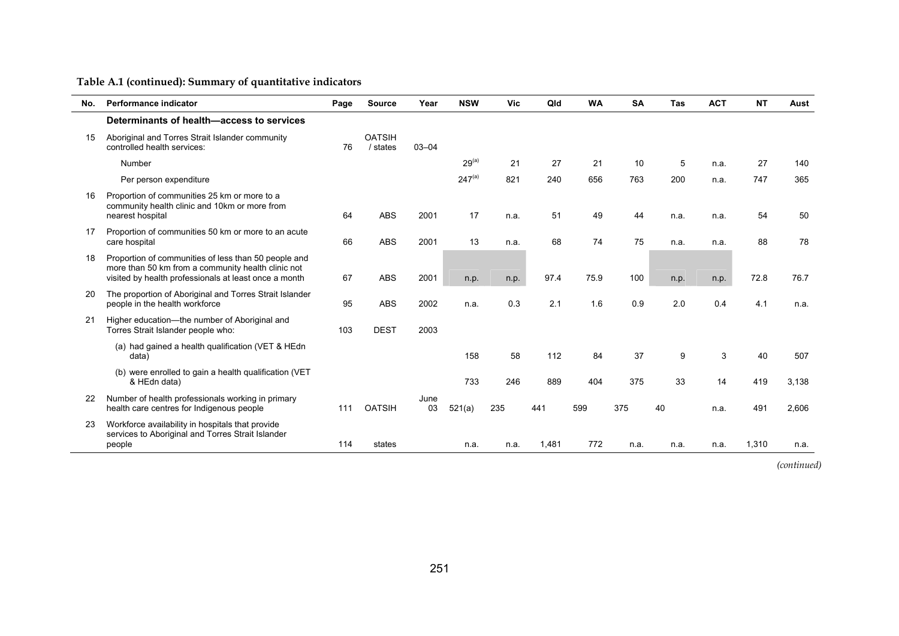| No. | Performance indicator                                                                                                                                               | Page | <b>Source</b>             | Year       | <b>NSW</b>  | Vic  | Qld   | <b>WA</b> | <b>SA</b> | <b>Tas</b> | <b>ACT</b> | <b>NT</b> | Aust  |
|-----|---------------------------------------------------------------------------------------------------------------------------------------------------------------------|------|---------------------------|------------|-------------|------|-------|-----------|-----------|------------|------------|-----------|-------|
|     | Determinants of health-access to services                                                                                                                           |      |                           |            |             |      |       |           |           |            |            |           |       |
| 15  | Aboriginal and Torres Strait Islander community<br>controlled health services:                                                                                      | 76   | <b>OATSIH</b><br>/ states | $03 - 04$  |             |      |       |           |           |            |            |           |       |
|     | Number                                                                                                                                                              |      |                           |            | $29^{(a)}$  | 21   | 27    | 21        | 10        | 5          | n.a.       | 27        | 140   |
|     | Per person expenditure                                                                                                                                              |      |                           |            | $247^{(a)}$ | 821  | 240   | 656       | 763       | 200        | n.a.       | 747       | 365   |
| 16  | Proportion of communities 25 km or more to a<br>community health clinic and 10km or more from<br>nearest hospital                                                   | 64   | <b>ABS</b>                | 2001       | 17          | n.a. | 51    | 49        | 44        | n.a.       | n.a.       | 54        | 50    |
| 17  | Proportion of communities 50 km or more to an acute<br>care hospital                                                                                                | 66   | <b>ABS</b>                | 2001       | 13          | n.a. | 68    | 74        | 75        | n.a.       | n.a.       | 88        | 78    |
| 18  | Proportion of communities of less than 50 people and<br>more than 50 km from a community health clinic not<br>visited by health professionals at least once a month | 67   | <b>ABS</b>                | 2001       | n.p.        | n.p. | 97.4  | 75.9      | 100       | n.p.       | n.p.       | 72.8      | 76.7  |
| 20  | The proportion of Aboriginal and Torres Strait Islander<br>people in the health workforce                                                                           | 95   | <b>ABS</b>                | 2002       | n.a.        | 0.3  | 2.1   | 1.6       | 0.9       | 2.0        | 0.4        | 4.1       | n.a.  |
| 21  | Higher education-the number of Aboriginal and<br>Torres Strait Islander people who:                                                                                 | 103  | <b>DEST</b>               | 2003       |             |      |       |           |           |            |            |           |       |
|     | (a) had gained a health qualification (VET & HEdn<br>data)                                                                                                          |      |                           |            | 158         | 58   | 112   | 84        | 37        | 9          | 3          | 40        | 507   |
|     | (b) were enrolled to gain a health qualification (VET<br>& HEdn data)                                                                                               |      |                           |            | 733         | 246  | 889   | 404       | 375       | 33         | 14         | 419       | 3,138 |
| 22  | Number of health professionals working in primary<br>health care centres for Indigenous people                                                                      | 111  | <b>OATSIH</b>             | June<br>03 | 521(a)      | 235  | 441   | 599       | 375       | 40         | n.a.       | 491       | 2.606 |
| 23  | Workforce availability in hospitals that provide<br>services to Aboriginal and Torres Strait Islander<br>people                                                     | 114  | states                    |            | n.a.        | n.a. | 1,481 | 772       | n.a.      | n.a.       | n.a.       | 1,310     | n.a.  |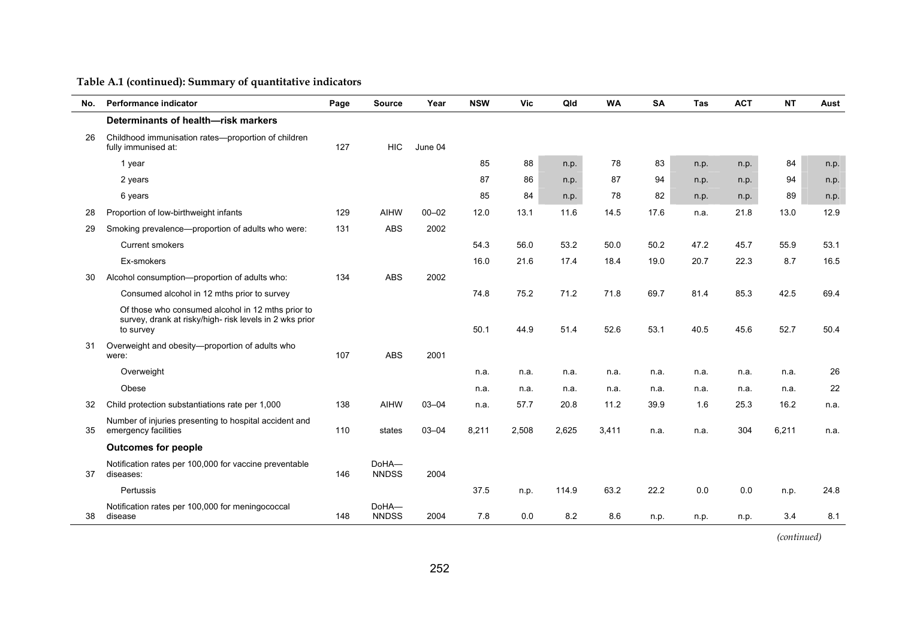| No. | Performance indicator                                                                                                     | Page | <b>Source</b>         | Year      | <b>NSW</b> | <b>Vic</b> | Qld   | <b>WA</b> | <b>SA</b> | Tas  | <b>ACT</b> | <b>NT</b> | Aust |
|-----|---------------------------------------------------------------------------------------------------------------------------|------|-----------------------|-----------|------------|------------|-------|-----------|-----------|------|------------|-----------|------|
|     | Determinants of health-risk markers                                                                                       |      |                       |           |            |            |       |           |           |      |            |           |      |
| 26  | Childhood immunisation rates-proportion of children<br>fully immunised at:                                                | 127  | <b>HIC</b>            | June 04   |            |            |       |           |           |      |            |           |      |
|     | 1 year                                                                                                                    |      |                       |           | 85         | 88         | n.p.  | 78        | 83        | n.p. | n.p.       | 84        | n.p. |
|     | 2 years                                                                                                                   |      |                       |           | 87         | 86         | n.p.  | 87        | 94        | n.p. | n.p.       | 94        | n.p. |
|     | 6 years                                                                                                                   |      |                       |           | 85         | 84         | n.p.  | 78        | 82        | n.p. | n.p.       | 89        | n.p. |
| 28  | Proportion of low-birthweight infants                                                                                     | 129  | <b>AIHW</b>           | $00 - 02$ | 12.0       | 13.1       | 11.6  | 14.5      | 17.6      | n.a. | 21.8       | 13.0      | 12.9 |
| 29  | Smoking prevalence—proportion of adults who were:                                                                         | 131  | <b>ABS</b>            | 2002      |            |            |       |           |           |      |            |           |      |
|     | <b>Current smokers</b>                                                                                                    |      |                       |           | 54.3       | 56.0       | 53.2  | 50.0      | 50.2      | 47.2 | 45.7       | 55.9      | 53.1 |
|     | Ex-smokers                                                                                                                |      |                       |           | 16.0       | 21.6       | 17.4  | 18.4      | 19.0      | 20.7 | 22.3       | 8.7       | 16.5 |
| 30  | Alcohol consumption-proportion of adults who:                                                                             | 134  | <b>ABS</b>            | 2002      |            |            |       |           |           |      |            |           |      |
|     | Consumed alcohol in 12 mths prior to survey                                                                               |      |                       |           | 74.8       | 75.2       | 71.2  | 71.8      | 69.7      | 81.4 | 85.3       | 42.5      | 69.4 |
|     | Of those who consumed alcohol in 12 mths prior to<br>survey, drank at risky/high- risk levels in 2 wks prior<br>to survey |      |                       |           | 50.1       | 44.9       | 51.4  | 52.6      | 53.1      | 40.5 | 45.6       | 52.7      | 50.4 |
| 31  | Overweight and obesity-proportion of adults who<br>were:                                                                  | 107  | <b>ABS</b>            | 2001      |            |            |       |           |           |      |            |           |      |
|     | Overweight                                                                                                                |      |                       |           | n.a.       | n.a.       | n.a.  | n.a.      | n.a.      | n.a. | n.a.       | n.a.      | 26   |
|     | Obese                                                                                                                     |      |                       |           | n.a.       | n.a.       | n.a.  | n.a.      | n.a.      | n.a. | n.a.       | n.a.      | 22   |
| 32  | Child protection substantiations rate per 1,000                                                                           | 138  | <b>AIHW</b>           | $03 - 04$ | n.a.       | 57.7       | 20.8  | 11.2      | 39.9      | 1.6  | 25.3       | 16.2      | n.a. |
| 35  | Number of injuries presenting to hospital accident and<br>emergency facilities                                            | 110  | states                | $03 - 04$ | 8,211      | 2,508      | 2,625 | 3,411     | n.a.      | n.a. | 304        | 6,211     | n.a. |
|     | <b>Outcomes for people</b>                                                                                                |      |                       |           |            |            |       |           |           |      |            |           |      |
| 37  | Notification rates per 100,000 for vaccine preventable<br>diseases:                                                       | 146  | DoHA-<br><b>NNDSS</b> | 2004      |            |            |       |           |           |      |            |           |      |
|     | Pertussis                                                                                                                 |      |                       |           | 37.5       | n.p.       | 114.9 | 63.2      | 22.2      | 0.0  | 0.0        | n.p.      | 24.8 |
| 38  | Notification rates per 100,000 for meningococcal<br>disease                                                               | 148  | DoHA-<br><b>NNDSS</b> | 2004      | 7.8        | 0.0        | 8.2   | 8.6       | n.p.      | n.p. | n.p.       | 3.4       | 8.1  |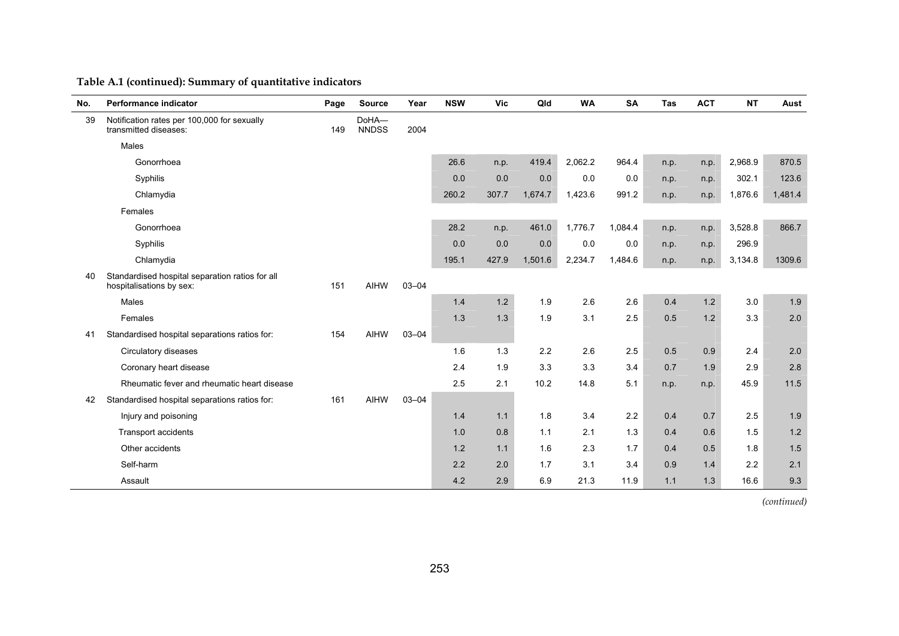| No. | Performance indicator                                                       | Page | <b>Source</b>         | Year      | <b>NSW</b> | Vic   | Qld     | <b>WA</b> | <b>SA</b> | <b>Tas</b> | <b>ACT</b> | <b>NT</b> | Aust    |
|-----|-----------------------------------------------------------------------------|------|-----------------------|-----------|------------|-------|---------|-----------|-----------|------------|------------|-----------|---------|
| 39  | Notification rates per 100,000 for sexually<br>transmitted diseases:        | 149  | DoHA-<br><b>NNDSS</b> | 2004      |            |       |         |           |           |            |            |           |         |
|     | Males                                                                       |      |                       |           |            |       |         |           |           |            |            |           |         |
|     | Gonorrhoea                                                                  |      |                       |           | 26.6       | n.p.  | 419.4   | 2,062.2   | 964.4     | n.p.       | n.p.       | 2,968.9   | 870.5   |
|     | Syphilis                                                                    |      |                       |           | 0.0        | 0.0   | 0.0     | 0.0       | 0.0       | n.p.       | n.p.       | 302.1     | 123.6   |
|     | Chlamydia                                                                   |      |                       |           | 260.2      | 307.7 | 1,674.7 | 1,423.6   | 991.2     | n.p.       | n.p.       | 1,876.6   | 1,481.4 |
|     | Females                                                                     |      |                       |           |            |       |         |           |           |            |            |           |         |
|     | Gonorrhoea                                                                  |      |                       |           | 28.2       | n.p.  | 461.0   | 1,776.7   | 1,084.4   | n.p.       | n.p.       | 3,528.8   | 866.7   |
|     | Syphilis                                                                    |      |                       |           | 0.0        | 0.0   | 0.0     | 0.0       | 0.0       | n.p.       | n.p.       | 296.9     |         |
|     | Chlamydia                                                                   |      |                       |           | 195.1      | 427.9 | 1,501.6 | 2,234.7   | 1,484.6   | n.p.       | n.p.       | 3,134.8   | 1309.6  |
| 40  | Standardised hospital separation ratios for all<br>hospitalisations by sex: | 151  | <b>AIHW</b>           | $03 - 04$ |            |       |         |           |           |            |            |           |         |
|     | Males                                                                       |      |                       |           | 1.4        | $1.2$ | 1.9     | 2.6       | 2.6       | 0.4        | 1.2        | 3.0       | 1.9     |
|     | Females                                                                     |      |                       |           | 1.3        | 1.3   | 1.9     | 3.1       | 2.5       | 0.5        | 1.2        | 3.3       | 2.0     |
| 41  | Standardised hospital separations ratios for:                               | 154  | <b>AIHW</b>           | $03 - 04$ |            |       |         |           |           |            |            |           |         |
|     | Circulatory diseases                                                        |      |                       |           | 1.6        | 1.3   | 2.2     | 2.6       | 2.5       | 0.5        | 0.9        | 2.4       | 2.0     |
|     | Coronary heart disease                                                      |      |                       |           | 2.4        | 1.9   | 3.3     | 3.3       | 3.4       | 0.7        | 1.9        | 2.9       | 2.8     |
|     | Rheumatic fever and rheumatic heart disease                                 |      |                       |           | 25         | 2.1   | 10.2    | 14.8      | 5.1       | n.p.       | n.p.       | 45.9      | 11.5    |
| 42  | Standardised hospital separations ratios for:                               | 161  | <b>AIHW</b>           | $03 - 04$ |            |       |         |           |           |            |            |           |         |
|     | Injury and poisoning                                                        |      |                       |           | 1.4        | 1.1   | 1.8     | 3.4       | 2.2       | 0.4        | 0.7        | 2.5       | 1.9     |
|     | <b>Transport accidents</b>                                                  |      |                       |           | 1.0        | 0.8   | 1.1     | 2.1       | 1.3       | 0.4        | 0.6        | 1.5       | $1.2$   |
|     | Other accidents                                                             |      |                       |           | 1.2        | 1.1   | 1.6     | 2.3       | 1.7       | 0.4        | 0.5        | 1.8       | 1.5     |
|     | Self-harm                                                                   |      |                       |           | 2.2        | 2.0   | 1.7     | 3.1       | 3.4       | 0.9        | 1.4        | 2.2       | 2.1     |
|     | Assault                                                                     |      |                       |           | 4.2        | 2.9   | 6.9     | 21.3      | 11.9      | 1.1        | 1.3        | 16.6      | 9.3     |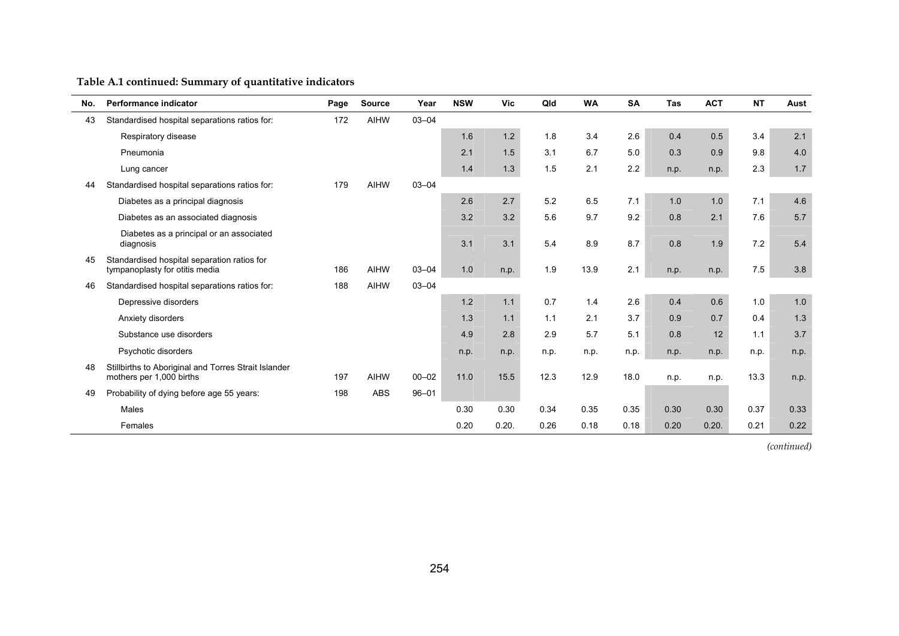| No. | <b>Performance indicator</b>                                                     | Page | <b>Source</b> | Year      | <b>NSW</b> | Vic   | Qld  | <b>WA</b> | <b>SA</b> | Tas  | <b>ACT</b> | <b>NT</b> | Aust |
|-----|----------------------------------------------------------------------------------|------|---------------|-----------|------------|-------|------|-----------|-----------|------|------------|-----------|------|
| 43  | Standardised hospital separations ratios for:                                    | 172  | <b>AIHW</b>   | $03 - 04$ |            |       |      |           |           |      |            |           |      |
|     | Respiratory disease                                                              |      |               |           | 1.6        | $1.2$ | 1.8  | 3.4       | 2.6       | 0.4  | 0.5        | 3.4       | 2.1  |
|     | Pneumonia                                                                        |      |               |           | 2.1        | 1.5   | 3.1  | 6.7       | 5.0       | 0.3  | 0.9        | 9.8       | 4.0  |
|     | Lung cancer                                                                      |      |               |           | 1.4        | 1.3   | 1.5  | 2.1       | 2.2       | n.p. | n.p.       | 2.3       | 1.7  |
| 44  | Standardised hospital separations ratios for:                                    | 179  | <b>AIHW</b>   | $03 - 04$ |            |       |      |           |           |      |            |           |      |
|     | Diabetes as a principal diagnosis                                                |      |               |           | 2.6        | 2.7   | 5.2  | 6.5       | 7.1       | 1.0  | 1.0        | 7.1       | 4.6  |
|     | Diabetes as an associated diagnosis                                              |      |               |           | 3.2        | 3.2   | 5.6  | 9.7       | 9.2       | 0.8  | 2.1        | 7.6       | 5.7  |
|     | Diabetes as a principal or an associated<br>diagnosis                            |      |               |           | 3.1        | 3.1   | 5.4  | 8.9       | 8.7       | 0.8  | 1.9        | 7.2       | 5.4  |
| 45  | Standardised hospital separation ratios for<br>tympanoplasty for otitis media    | 186  | <b>AIHW</b>   | $03 - 04$ | 1.0        | n.p.  | 1.9  | 13.9      | 2.1       | n.p. | n.p.       | 7.5       | 3.8  |
| 46  | Standardised hospital separations ratios for:                                    | 188  | <b>AIHW</b>   | $03 - 04$ |            |       |      |           |           |      |            |           |      |
|     | Depressive disorders                                                             |      |               |           | 1.2        | 1.1   | 0.7  | 1.4       | 2.6       | 0.4  | 0.6        | 1.0       | 1.0  |
|     | Anxiety disorders                                                                |      |               |           | 1.3        | 1.1   | 1.1  | 2.1       | 3.7       | 0.9  | 0.7        | 0.4       | 1.3  |
|     | Substance use disorders                                                          |      |               |           | 4.9        | 2.8   | 2.9  | 5.7       | 5.1       | 0.8  | 12         | 1.1       | 3.7  |
|     | Psychotic disorders                                                              |      |               |           | n.p.       | n.p.  | n.p. | n.p.      | n.p.      | n.p. | n.p.       | n.p.      | n.p. |
| 48  | Stillbirths to Aboriginal and Torres Strait Islander<br>mothers per 1,000 births | 197  | <b>AIHW</b>   | $00 - 02$ | 11.0       | 15.5  | 12.3 | 12.9      | 18.0      | n.p. | n.p.       | 13.3      | n.p. |
| 49  | Probability of dying before age 55 years:                                        | 198  | <b>ABS</b>    | $96 - 01$ |            |       |      |           |           |      |            |           |      |
|     | Males                                                                            |      |               |           | 0.30       | 0.30  | 0.34 | 0.35      | 0.35      | 0.30 | 0.30       | 0.37      | 0.33 |
|     | Females                                                                          |      |               |           | 0.20       | 0.20. | 0.26 | 0.18      | 0.18      | 0.20 | 0.20.      | 0.21      | 0.22 |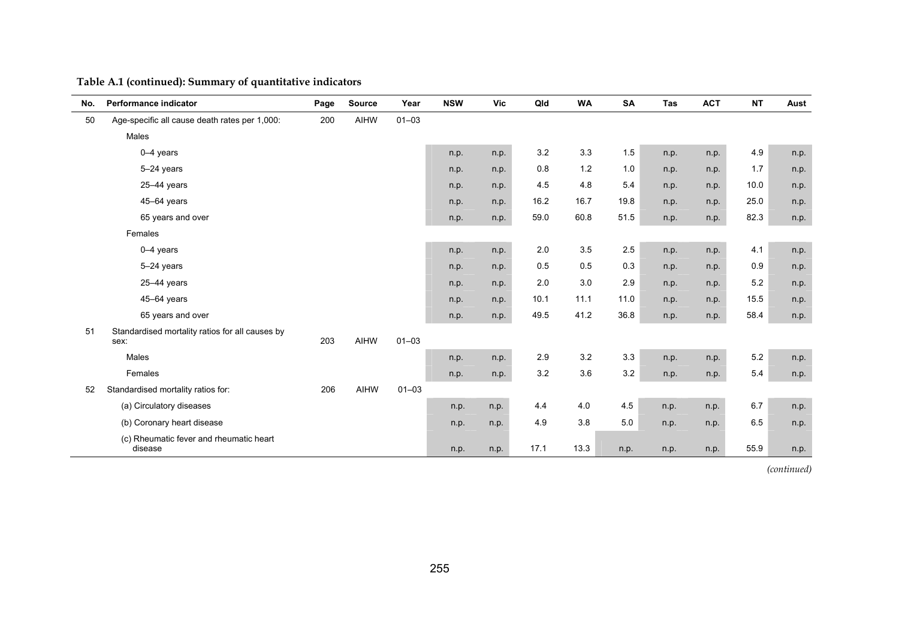| No. | Performance indicator                                   | Page | Source      | Year      | <b>NSW</b> | <b>Vic</b> | Qld  | <b>WA</b> | <b>SA</b> | Tas  | <b>ACT</b> | <b>NT</b> | Aust |
|-----|---------------------------------------------------------|------|-------------|-----------|------------|------------|------|-----------|-----------|------|------------|-----------|------|
| 50  | Age-specific all cause death rates per 1,000:           | 200  | <b>AIHW</b> | $01 - 03$ |            |            |      |           |           |      |            |           |      |
|     | Males                                                   |      |             |           |            |            |      |           |           |      |            |           |      |
|     | $0-4$ years                                             |      |             |           | n.p.       | n.p.       | 3.2  | 3.3       | 1.5       | n.p. | n.p.       | 4.9       | n.p. |
|     | 5-24 years                                              |      |             |           | n.p.       | n.p.       | 0.8  | 1.2       | 1.0       | n.p. | n.p.       | 1.7       | n.p. |
|     | 25-44 years                                             |      |             |           | n.p.       | n.p.       | 4.5  | 4.8       | 5.4       | n.p. | n.p.       | 10.0      | n.p. |
|     | 45-64 years                                             |      |             |           | n.p.       | n.p.       | 16.2 | 16.7      | 19.8      | n.p. | n.p.       | 25.0      | n.p. |
|     | 65 years and over                                       |      |             |           | n.p.       | n.p.       | 59.0 | 60.8      | 51.5      | n.p. | n.p.       | 82.3      | n.p. |
|     | Females                                                 |      |             |           |            |            |      |           |           |      |            |           |      |
|     | $0-4$ years                                             |      |             |           | n.p.       | n.p.       | 2.0  | 3.5       | 2.5       | n.p. | n.p.       | 4.1       | n.p. |
|     | 5-24 years                                              |      |             |           | n.p.       | n.p.       | 0.5  | 0.5       | 0.3       | n.p. | n.p.       | 0.9       | n.p. |
|     | 25-44 years                                             |      |             |           | n.p.       | n.p.       | 2.0  | 3.0       | 2.9       | n.p. | n.p.       | 5.2       | n.p. |
|     | 45-64 years                                             |      |             |           | n.p.       | n.p.       | 10.1 | 11.1      | 11.0      | n.p. | n.p.       | 15.5      | n.p. |
|     | 65 years and over                                       |      |             |           | n.p.       | n.p.       | 49.5 | 41.2      | 36.8      | n.p. | n.p.       | 58.4      | n.p. |
| 51  | Standardised mortality ratios for all causes by<br>sex: | 203  | <b>AIHW</b> | $01 - 03$ |            |            |      |           |           |      |            |           |      |
|     | Males                                                   |      |             |           | n.p.       | n.p.       | 2.9  | 3.2       | 3.3       | n.p. | n.p.       | 5.2       | n.p. |
|     | Females                                                 |      |             |           | n.p.       | n.p.       | 3.2  | 3.6       | 3.2       | n.p. | n.p.       | 5.4       | n.p. |
| 52  | Standardised mortality ratios for:                      | 206  | AIHW        | $01 - 03$ |            |            |      |           |           |      |            |           |      |
|     | (a) Circulatory diseases                                |      |             |           | n.p.       | n.p.       | 4.4  | 4.0       | 4.5       | n.p. | n.p.       | 6.7       | n.p. |
|     | (b) Coronary heart disease                              |      |             |           | n.p.       | n.p.       | 4.9  | 3.8       | 5.0       | n.p. | n.p.       | 6.5       | n.p. |
|     | (c) Rheumatic fever and rheumatic heart<br>disease      |      |             |           | n.p.       | n.p.       | 17.1 | 13.3      | n.p.      | n.p. | n.p.       | 55.9      | n.p. |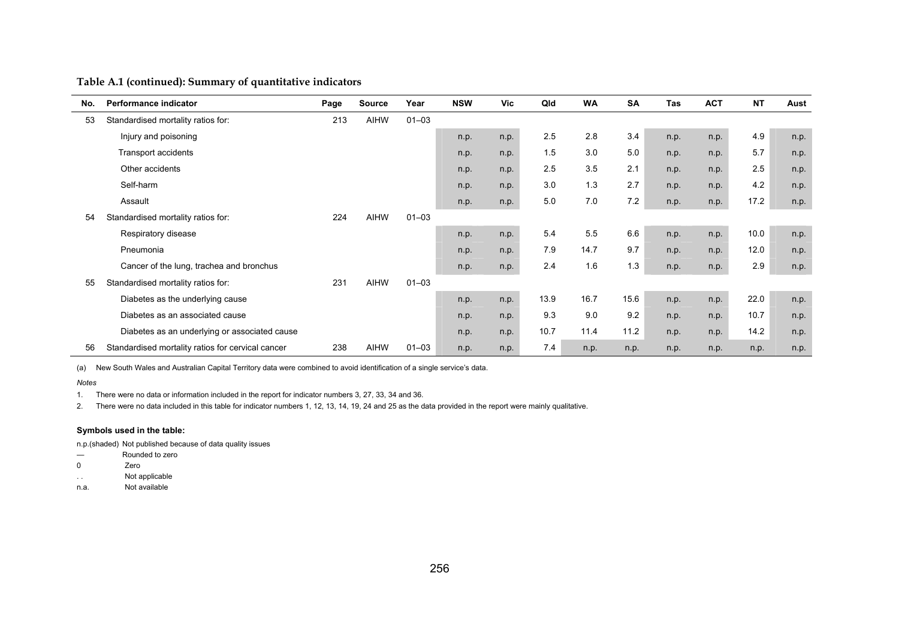| No. | Performance indicator                             | Page | Source      | Year      | <b>NSW</b> | Vic  | Qld  | <b>WA</b> | <b>SA</b> | <b>Tas</b> | <b>ACT</b> | <b>NT</b> | Aust |
|-----|---------------------------------------------------|------|-------------|-----------|------------|------|------|-----------|-----------|------------|------------|-----------|------|
| 53  | Standardised mortality ratios for:                | 213  | <b>AIHW</b> | $01 - 03$ |            |      |      |           |           |            |            |           |      |
|     | Injury and poisoning                              |      |             |           | n.p.       | n.p. | 2.5  | 2.8       | 3.4       | n.p.       | n.p.       | 4.9       | n.p. |
|     | Transport accidents                               |      |             |           | n.p.       | n.p. | 1.5  | 3.0       | 5.0       | n.p.       | n.p.       | 5.7       | n.p. |
|     | Other accidents                                   |      |             |           | n.p.       | n.p. | 2.5  | 3.5       | 2.1       | n.p.       | n.p.       | 2.5       | n.p. |
|     | Self-harm                                         |      |             |           | n.p.       | n.p. | 3.0  | 1.3       | 2.7       | n.p.       | n.p.       | 4.2       | n.p. |
|     | Assault                                           |      |             |           | n.p.       | n.p. | 5.0  | 7.0       | 7.2       | n.p.       | n.p.       | 17.2      | n.p. |
| 54  | Standardised mortality ratios for:                | 224  | <b>AIHW</b> | $01 - 03$ |            |      |      |           |           |            |            |           |      |
|     | Respiratory disease                               |      |             |           | n.p.       | n.p. | 5.4  | 5.5       | 6.6       | n.p.       | n.p.       | 10.0      | n.p. |
|     | Pneumonia                                         |      |             |           | n.p.       | n.p. | 7.9  | 14.7      | 9.7       | n.p.       | n.p.       | 12.0      | n.p. |
|     | Cancer of the lung, trachea and bronchus          |      |             |           | n.p.       | n.p. | 2.4  | 1.6       | 1.3       | n.p.       | n.p.       | 2.9       | n.p. |
| 55  | Standardised mortality ratios for:                | 231  | <b>AIHW</b> | $01 - 03$ |            |      |      |           |           |            |            |           |      |
|     | Diabetes as the underlying cause                  |      |             |           | n.p.       | n.p. | 13.9 | 16.7      | 15.6      | n.p.       | n.p.       | 22.0      | n.p. |
|     | Diabetes as an associated cause                   |      |             |           | n.p.       | n.p. | 9.3  | 9.0       | 9.2       | n.p.       | n.p.       | 10.7      | n.p. |
|     | Diabetes as an underlying or associated cause     |      |             |           | n.p.       | n.p. | 10.7 | 11.4      | 11.2      | n.p.       | n.p.       | 14.2      | n.p. |
| 56  | Standardised mortality ratios for cervical cancer | 238  | <b>AIHW</b> | $01 - 03$ | n.p.       | n.p. | 7.4  | n.p.      | n.p.      | n.p.       | n.p.       | n.p.      | n.p. |

(a) New South Wales and Australian Capital Territory data were combined to avoid identification of a single service's data.

*Notes* 

1. There were no data or information included in the report for indicator numbers 3, 27, 33, 34 and 36.

2. There were no data included in this table for indicator numbers 1, 12, 13, 14, 19, 24 and 25 as the data provided in the report were mainly qualitative.

#### **Symbols used in the table:**

n.p.(shaded) Not published because of data quality issues

- Rounded to zero
- 0 Zero
- . . Not applicable
- n.a. Not available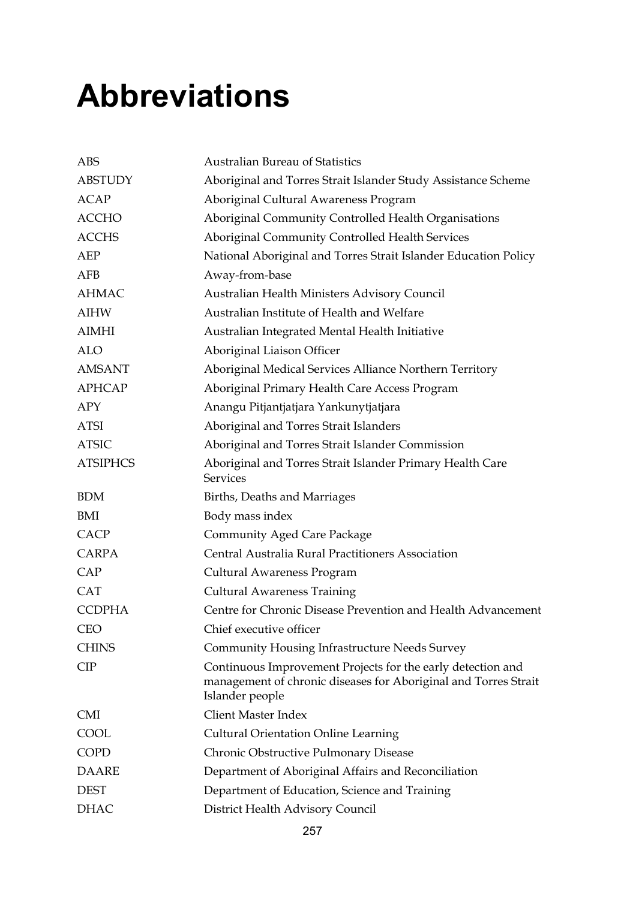## **Abbreviations**

| <b>ABS</b>      | <b>Australian Bureau of Statistics</b>                                                                                                            |
|-----------------|---------------------------------------------------------------------------------------------------------------------------------------------------|
| <b>ABSTUDY</b>  | Aboriginal and Torres Strait Islander Study Assistance Scheme                                                                                     |
| <b>ACAP</b>     | Aboriginal Cultural Awareness Program                                                                                                             |
| <b>ACCHO</b>    | Aboriginal Community Controlled Health Organisations                                                                                              |
| <b>ACCHS</b>    | Aboriginal Community Controlled Health Services                                                                                                   |
| AEP             | National Aboriginal and Torres Strait Islander Education Policy                                                                                   |
| <b>AFB</b>      | Away-from-base                                                                                                                                    |
| <b>AHMAC</b>    | Australian Health Ministers Advisory Council                                                                                                      |
| <b>AIHW</b>     | Australian Institute of Health and Welfare                                                                                                        |
| <b>AIMHI</b>    | Australian Integrated Mental Health Initiative                                                                                                    |
| <b>ALO</b>      | Aboriginal Liaison Officer                                                                                                                        |
| <b>AMSANT</b>   | Aboriginal Medical Services Alliance Northern Territory                                                                                           |
| <b>APHCAP</b>   | Aboriginal Primary Health Care Access Program                                                                                                     |
| APY             | Anangu Pitjantjatjara Yankunytjatjara                                                                                                             |
| <b>ATSI</b>     | Aboriginal and Torres Strait Islanders                                                                                                            |
| <b>ATSIC</b>    | Aboriginal and Torres Strait Islander Commission                                                                                                  |
| <b>ATSIPHCS</b> | Aboriginal and Torres Strait Islander Primary Health Care<br><b>Services</b>                                                                      |
| <b>BDM</b>      | Births, Deaths and Marriages                                                                                                                      |
| BMI             | Body mass index                                                                                                                                   |
| <b>CACP</b>     | <b>Community Aged Care Package</b>                                                                                                                |
| <b>CARPA</b>    | Central Australia Rural Practitioners Association                                                                                                 |
| CAP             | Cultural Awareness Program                                                                                                                        |
| <b>CAT</b>      | <b>Cultural Awareness Training</b>                                                                                                                |
| <b>CCDPHA</b>   | Centre for Chronic Disease Prevention and Health Advancement                                                                                      |
| <b>CEO</b>      | Chief executive officer                                                                                                                           |
| <b>CHINS</b>    | <b>Community Housing Infrastructure Needs Survey</b>                                                                                              |
| CIP             | Continuous Improvement Projects for the early detection and<br>management of chronic diseases for Aboriginal and Torres Strait<br>Islander people |
| <b>CMI</b>      | <b>Client Master Index</b>                                                                                                                        |
| COOL            | <b>Cultural Orientation Online Learning</b>                                                                                                       |
| COPD            | Chronic Obstructive Pulmonary Disease                                                                                                             |
| <b>DAARE</b>    | Department of Aboriginal Affairs and Reconciliation                                                                                               |
| <b>DEST</b>     | Department of Education, Science and Training                                                                                                     |
| <b>DHAC</b>     | District Health Advisory Council                                                                                                                  |
|                 |                                                                                                                                                   |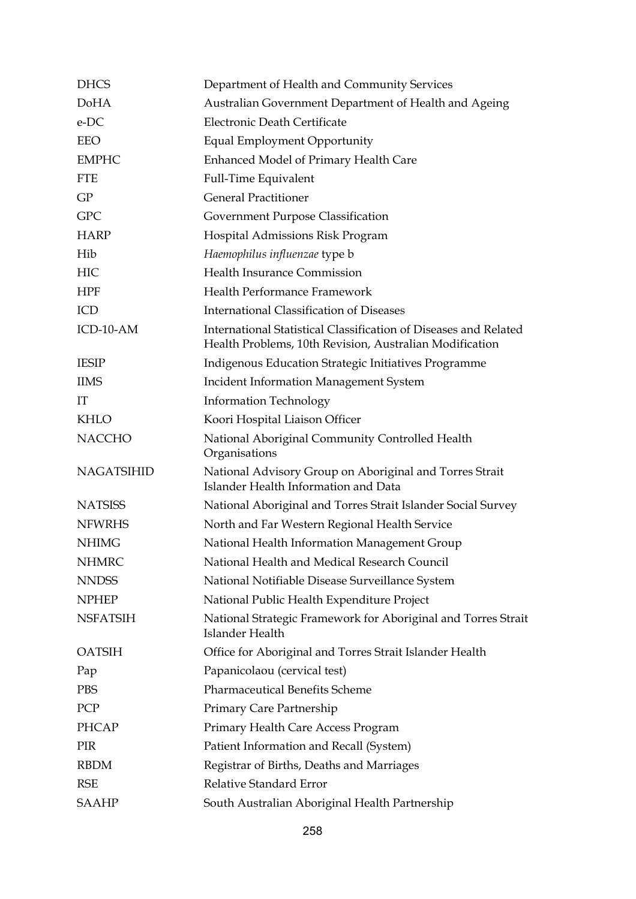| <b>DHCS</b>       | Department of Health and Community Services                                                                                 |
|-------------------|-----------------------------------------------------------------------------------------------------------------------------|
| <b>DoHA</b>       | Australian Government Department of Health and Ageing                                                                       |
| e-DC              | Electronic Death Certificate                                                                                                |
| <b>EEO</b>        | Equal Employment Opportunity                                                                                                |
| <b>EMPHC</b>      | Enhanced Model of Primary Health Care                                                                                       |
| <b>FTE</b>        | <b>Full-Time Equivalent</b>                                                                                                 |
| GP                | <b>General Practitioner</b>                                                                                                 |
| <b>GPC</b>        | Government Purpose Classification                                                                                           |
| <b>HARP</b>       | Hospital Admissions Risk Program                                                                                            |
| Hib               | Haemophilus influenzae type b                                                                                               |
| <b>HIC</b>        | <b>Health Insurance Commission</b>                                                                                          |
| <b>HPF</b>        | Health Performance Framework                                                                                                |
| ICD               | <b>International Classification of Diseases</b>                                                                             |
| ICD-10-AM         | International Statistical Classification of Diseases and Related<br>Health Problems, 10th Revision, Australian Modification |
| <b>IESIP</b>      | Indigenous Education Strategic Initiatives Programme                                                                        |
| <b>IIMS</b>       | <b>Incident Information Management System</b>                                                                               |
| TТ                | <b>Information Technology</b>                                                                                               |
| <b>KHLO</b>       | Koori Hospital Liaison Officer                                                                                              |
| <b>NACCHO</b>     | National Aboriginal Community Controlled Health<br>Organisations                                                            |
| <b>NAGATSIHID</b> | National Advisory Group on Aboriginal and Torres Strait<br>Islander Health Information and Data                             |
| <b>NATSISS</b>    | National Aboriginal and Torres Strait Islander Social Survey                                                                |
| <b>NFWRHS</b>     | North and Far Western Regional Health Service                                                                               |
| <b>NHIMG</b>      | National Health Information Management Group                                                                                |
| <b>NHMRC</b>      | National Health and Medical Research Council                                                                                |
| <b>NNDSS</b>      | National Notifiable Disease Surveillance System                                                                             |
| <b>NPHEP</b>      | National Public Health Expenditure Project                                                                                  |
| <b>NSFATSIH</b>   | National Strategic Framework for Aboriginal and Torres Strait<br>Islander Health                                            |
| <b>OATSIH</b>     | Office for Aboriginal and Torres Strait Islander Health                                                                     |
| Pap               | Papanicolaou (cervical test)                                                                                                |
| <b>PBS</b>        | <b>Pharmaceutical Benefits Scheme</b>                                                                                       |
| PCP               | Primary Care Partnership                                                                                                    |
| <b>PHCAP</b>      | Primary Health Care Access Program                                                                                          |
| PIR               | Patient Information and Recall (System)                                                                                     |
| <b>RBDM</b>       | Registrar of Births, Deaths and Marriages                                                                                   |
| <b>RSE</b>        | Relative Standard Error                                                                                                     |
| <b>SAAHP</b>      | South Australian Aboriginal Health Partnership                                                                              |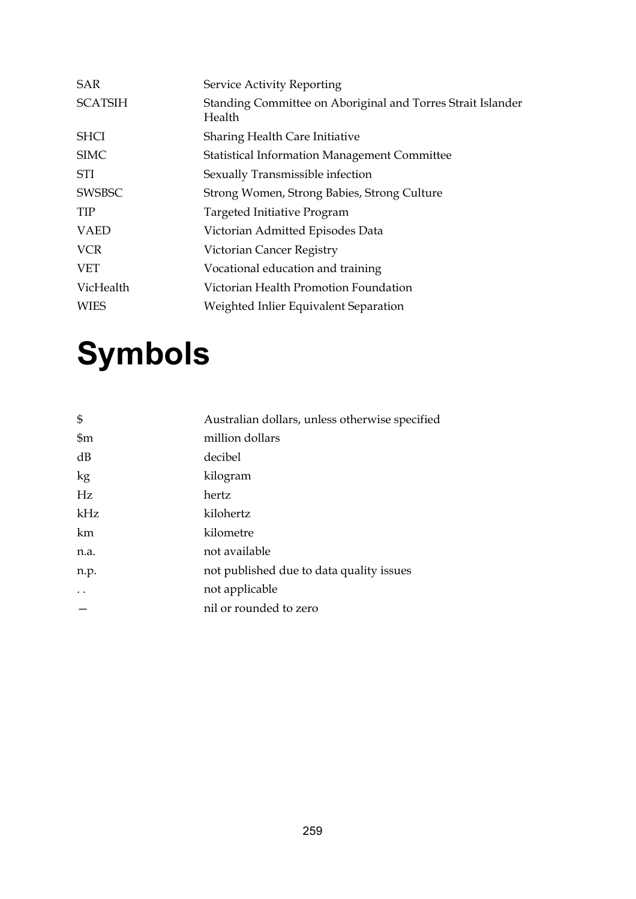| <b>SAR</b>     | Service Activity Reporting                                            |
|----------------|-----------------------------------------------------------------------|
| <b>SCATSIH</b> | Standing Committee on Aboriginal and Torres Strait Islander<br>Health |
| <b>SHCI</b>    | Sharing Health Care Initiative                                        |
| <b>SIMC</b>    | <b>Statistical Information Management Committee</b>                   |
| STI            | Sexually Transmissible infection                                      |
| <b>SWSBSC</b>  | Strong Women, Strong Babies, Strong Culture                           |
| <b>TIP</b>     | Targeted Initiative Program                                           |
| <b>VAED</b>    | Victorian Admitted Episodes Data                                      |
| <b>VCR</b>     | Victorian Cancer Registry                                             |
| <b>VET</b>     | Vocational education and training                                     |
| VicHealth      | Victorian Health Promotion Foundation                                 |
| <b>WIES</b>    | Weighted Inlier Equivalent Separation                                 |
|                |                                                                       |

# **Symbols**

| $\mathfrak{S}$ | Australian dollars, unless otherwise specified |
|----------------|------------------------------------------------|
| $\mathfrak{m}$ | million dollars                                |
| dB             | decibel                                        |
| kg             | kilogram                                       |
| Hz             | hertz                                          |
| kHz            | kilohertz                                      |
| km             | kilometre                                      |
| n.a.           | not available                                  |
| n.p.           | not published due to data quality issues       |
|                | not applicable                                 |
|                | nil or rounded to zero                         |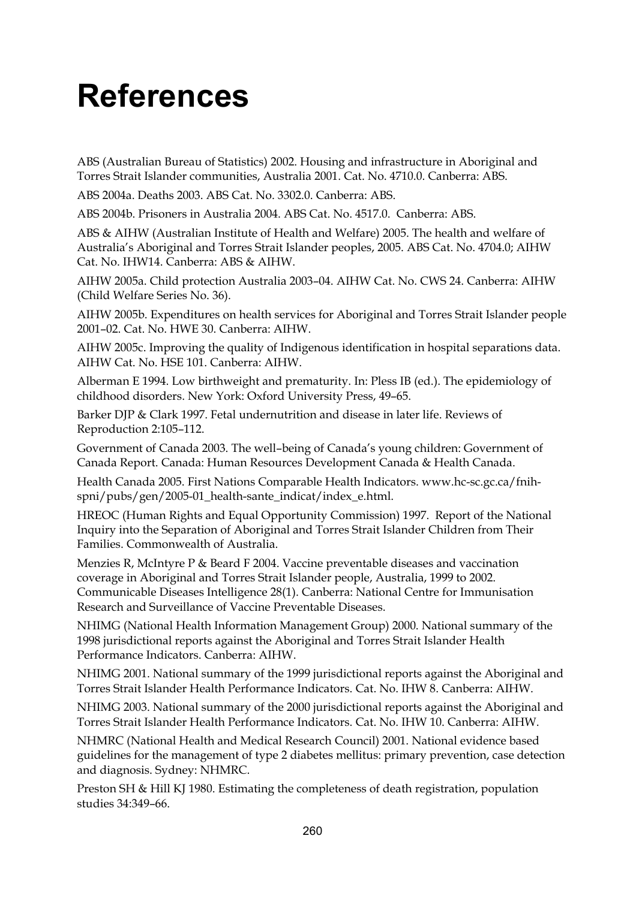### **References**

ABS (Australian Bureau of Statistics) 2002. Housing and infrastructure in Aboriginal and Torres Strait Islander communities, Australia 2001. Cat. No. 4710.0. Canberra: ABS.

ABS 2004a. Deaths 2003. ABS Cat. No. 3302.0. Canberra: ABS.

ABS 2004b. Prisoners in Australia 2004. ABS Cat. No. 4517.0. Canberra: ABS.

ABS & AIHW (Australian Institute of Health and Welfare) 2005. The health and welfare of Australia's Aboriginal and Torres Strait Islander peoples, 2005. ABS Cat. No. 4704.0; AIHW Cat. No. IHW14. Canberra: ABS & AIHW.

AIHW 2005a. Child protection Australia 2003–04. AIHW Cat. No. CWS 24. Canberra: AIHW (Child Welfare Series No. 36).

AIHW 2005b. Expenditures on health services for Aboriginal and Torres Strait Islander people 2001–02. Cat. No. HWE 30. Canberra: AIHW.

AIHW 2005c. Improving the quality of Indigenous identification in hospital separations data. AIHW Cat. No. HSE 101. Canberra: AIHW.

Alberman E 1994. Low birthweight and prematurity. In: Pless IB (ed.). The epidemiology of childhood disorders. New York: Oxford University Press, 49–65.

Barker DJP & Clark 1997. Fetal undernutrition and disease in later life. Reviews of Reproduction 2:105–112.

Government of Canada 2003. The well–being of Canada's young children: Government of Canada Report. Canada: Human Resources Development Canada & Health Canada.

Health Canada 2005. First Nations Comparable Health Indicators. www.hc-sc.gc.ca/fnihspni/pubs/gen/2005-01\_health-sante\_indicat/index\_e.html.

HREOC (Human Rights and Equal Opportunity Commission) 1997. Report of the National Inquiry into the Separation of Aboriginal and Torres Strait Islander Children from Their Families. Commonwealth of Australia.

Menzies R, McIntyre P & Beard F 2004. Vaccine preventable diseases and vaccination coverage in Aboriginal and Torres Strait Islander people, Australia, 1999 to 2002. Communicable Diseases Intelligence 28(1). Canberra: National Centre for Immunisation Research and Surveillance of Vaccine Preventable Diseases.

NHIMG (National Health Information Management Group) 2000. National summary of the 1998 jurisdictional reports against the Aboriginal and Torres Strait Islander Health Performance Indicators. Canberra: AIHW.

NHIMG 2001. National summary of the 1999 jurisdictional reports against the Aboriginal and Torres Strait Islander Health Performance Indicators. Cat. No. IHW 8. Canberra: AIHW.

NHIMG 2003. National summary of the 2000 jurisdictional reports against the Aboriginal and Torres Strait Islander Health Performance Indicators. Cat. No. IHW 10. Canberra: AIHW.

NHMRC (National Health and Medical Research Council) 2001. National evidence based guidelines for the management of type 2 diabetes mellitus: primary prevention, case detection and diagnosis. Sydney: NHMRC.

Preston SH & Hill KJ 1980. Estimating the completeness of death registration, population studies 34:349–66.